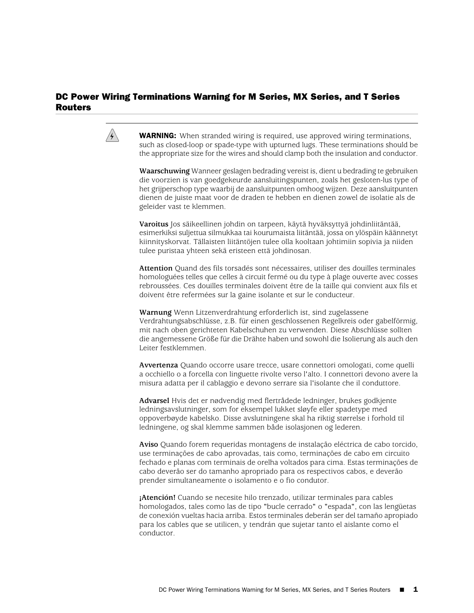## DC Power Wiring Terminations Warning for M Series, MX Series, and T Series Routers



**WARNING:** When stranded wiring is required, use approved wiring terminations, such as closed-loop or spade-type with upturned lugs. These terminations should be the appropriate size for the wires and should clamp both the insulation and conductor.

**Waarschuwing** Wanneer geslagen bedrading vereist is, dient u bedrading te gebruiken die voorzien is van goedgekeurde aansluitingspunten, zoals het gesloten-lus type of het grijperschop type waarbij de aansluitpunten omhoog wijzen. Deze aansluitpunten dienen de juiste maat voor de draden te hebben en dienen zowel de isolatie als de geleider vast te klemmen.

**Varoitus** Jos säikeellinen johdin on tarpeen, käytä hyväksyttyä johdinliitäntää, esimerkiksi suljettua silmukkaa tai kourumaista liitäntää, jossa on ylöspäin käännetyt kiinnityskorvat. Tällaisten liitäntöjen tulee olla kooltaan johtimiin sopivia ja niiden tulee puristaa yhteen sekä eristeen että johdinosan.

**Attention** Quand des fils torsadés sont nécessaires, utiliser des douilles terminales homologuées telles que celles à circuit fermé ou du type à plage ouverte avec cosses rebroussées. Ces douilles terminales doivent être de la taille qui convient aux fils et doivent être refermées sur la gaine isolante et sur le conducteur.

**Warnung** Wenn Litzenverdrahtung erforderlich ist, sind zugelassene Verdrahtungsabschlüsse, z.B. für einen geschlossenen Regelkreis oder gabelförmig, mit nach oben gerichteten Kabelschuhen zu verwenden. Diese Abschlüsse sollten die angemessene Größe für die Drähte haben und sowohl die Isolierung als auch den Leiter festklemmen.

**Avvertenza** Quando occorre usare trecce, usare connettori omologati, come quelli a occhiello o a forcella con linguette rivolte verso l'alto. I connettori devono avere la misura adatta per il cablaggio e devono serrare sia l'isolante che il conduttore.

**Advarsel** Hvis det er nødvendig med flertrådede ledninger, brukes godkjente ledningsavslutninger, som for eksempel lukket sløyfe eller spadetype med oppoverbøyde kabelsko. Disse avslutningene skal ha riktig størrelse i forhold til ledningene, og skal klemme sammen både isolasjonen og lederen.

**Aviso** Quando forem requeridas montagens de instalação eléctrica de cabo torcido, use terminações de cabo aprovadas, tais como, terminações de cabo em circuito fechado e planas com terminais de orelha voltados para cima. Estas terminações de cabo deverão ser do tamanho apropriado para os respectivos cabos, e deverão prender simultaneamente o isolamento e o fio condutor.

**¡Atención!** Cuando se necesite hilo trenzado, utilizar terminales para cables homologados, tales como las de tipo "bucle cerrado" o "espada", con las lengüetas de conexión vueltas hacia arriba. Estos terminales deberán ser del tamaño apropiado para los cables que se utilicen, y tendrán que sujetar tanto el aislante como el conductor.